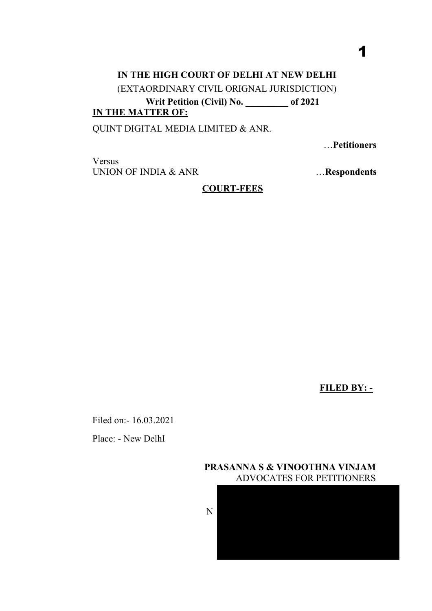# **IN THE HIGH COURT OF DELHI AT NEW DELHI** (EXTAORDINARY CIVIL ORIGNAL JURISDICTION) **Writ Petition (Civil) No. \_\_\_\_\_\_\_\_\_ of 2021 IN THE MATTER OF:**

QUINT DIGITAL MEDIA LIMITED & ANR.

…**Petitioners** 

1

Versus UNION OF INDIA & ANR

…**Respondents** 

## **COURT-FEES**

**FILED BY: -** 

Filed on:- 16.03.2021

Place: - New DelhI



N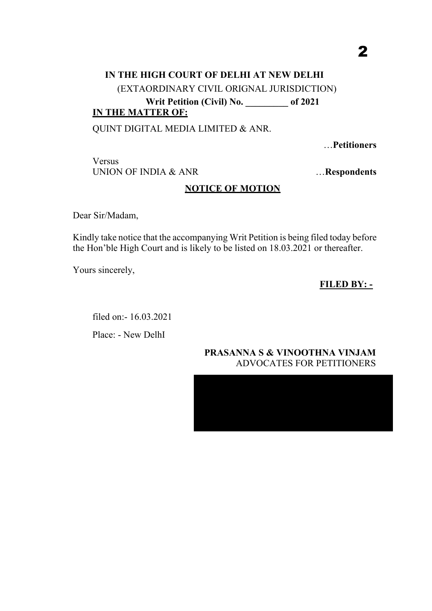# **IN THE HIGH COURT OF DELHI AT NEW DELHI** (EXTAORDINARY CIVIL ORIGNAL JURISDICTION) **Writ Petition (Civil) No. \_\_\_\_\_\_\_\_\_ of 2021 IN THE MATTER OF:**

QUINT DIGITAL MEDIA LIMITED & ANR.

…**Petitioners** 

Versus UNION OF INDIA & ANR

…**Respondents** 

## **NOTICE OF MOTION**

Dear Sir/Madam,

Kindly take notice that the accompanying Writ Petition is being filed today before the Hon'ble High Court and is likely to be listed on 18.03.2021 or thereafter.

Yours sincerely,

**FILED BY: -** 

filed on:- 16.03.2021

Place: - New DelhI

# **PRASANNA S & VINOOTHNA VINJAM** ADVOCATES FOR PETITIONERS

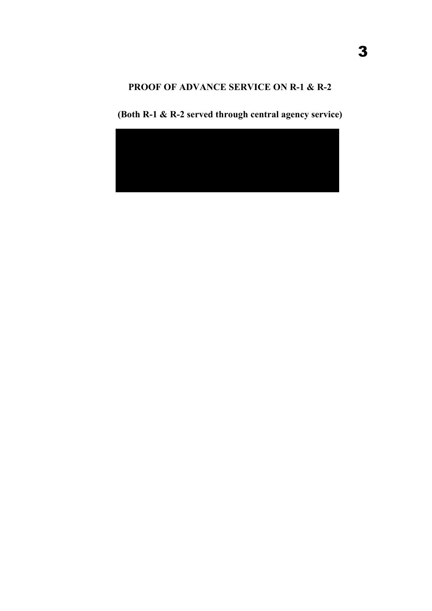# **PROOF OF ADVANCE SERVICE ON R-1 & R-2**



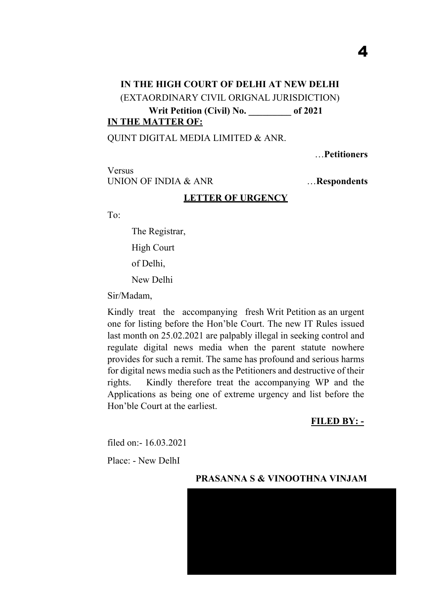# **IN THE HIGH COURT OF DELHI AT NEW DELHI** (EXTAORDINARY CIVIL ORIGNAL JURISDICTION) **Writ Petition (Civil) No. \_\_\_\_\_\_\_\_\_ of 2021 IN THE MATTER OF:**

#### QUINT DIGITAL MEDIA LIMITED & ANR.

…**Petitioners** 

4

Versus UNION OF INDIA & ANR

…**Respondents** 

#### **LETTER OF URGENCY**

To:

The Registrar, High Court of Delhi, New Delhi

Sir/Madam,

Kindly treat the accompanying fresh Writ Petition as an urgent one for listing before the Hon'ble Court. The new IT Rules issued last month on 25.02.2021 are palpably illegal in seeking control and regulate digital news media when the parent statute nowhere provides for such a remit. The same has profound and serious harms for digital news media such as the Petitioners and destructive of their rights. Kindly therefore treat the accompanying WP and the Applications as being one of extreme urgency and list before the Hon'ble Court at the earliest.

**FILED BY: -** 

filed on:- 16.03.2021

Place: - New DelhI



#### **PRASANNA S & VINOOTHNA VINJAM**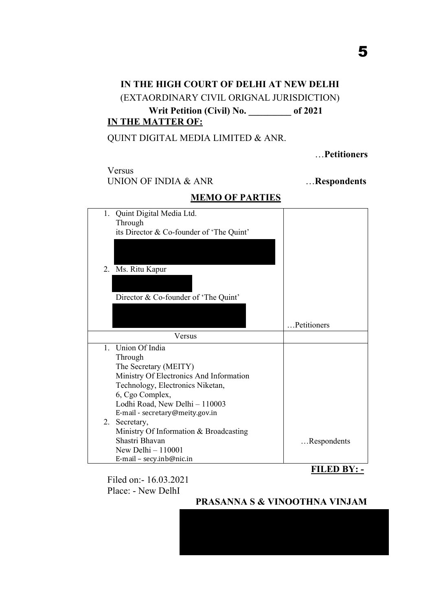# **IN THE HIGH COURT OF DELHI AT NEW DELHI** (EXTAORDINARY CIVIL ORIGNAL JURISDICTION) **Writ Petition (Civil) No. \_\_\_\_\_\_\_\_\_ of 2021 IN THE MATTER OF:**

## QUINT DIGITAL MEDIA LIMITED & ANR.

…**Petitioners** 

5

# Versus

## UNION OF INDIA & ANR **EXECUTE: WE** ... **Respondents**

| 1. Quint Digital Media Ltd.<br>Through   |             |
|------------------------------------------|-------------|
| its Director & Co-founder of 'The Quint' |             |
|                                          |             |
|                                          |             |
|                                          |             |
| 2. Ms. Ritu Kapur                        |             |
|                                          |             |
| Director & Co-founder of 'The Quint'     |             |
|                                          |             |
|                                          |             |
|                                          | Petitioners |
| Versus                                   |             |
| 1. Union Of India                        |             |
| Through                                  |             |
| The Secretary (MEITY)                    |             |
| Ministry Of Electronics And Information  |             |
| Technology, Electronics Niketan,         |             |
| 6, Cgo Complex,                          |             |
| Lodhi Road, New Delhi - 110003           |             |
| E-mail - secretary@meity.gov.in          |             |
| 2. Secretary,                            |             |
| Ministry Of Information & Broadcasting   |             |
| Shastri Bhavan                           | Respondents |
| New Delhi $-110001$                      |             |
| E-mail - secy.inb@nic.in                 |             |

# **MEMO OF PARTIES**

**FILED BY: -** 

Filed on:- 16.03.2021 Place: - New DelhI

## **PRASANNA S & VINOOTHNA VINJAM**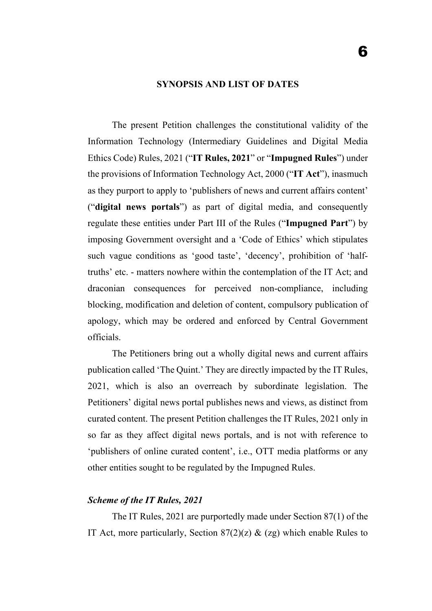#### **SYNOPSIS AND LIST OF DATES**

The present Petition challenges the constitutional validity of the Information Technology (Intermediary Guidelines and Digital Media Ethics Code) Rules, 2021 ("**IT Rules, 2021**" or "**Impugned Rules**") under the provisions of Information Technology Act, 2000 ("**IT Act**"), inasmuch as they purport to apply to 'publishers of news and current affairs content' ("**digital news portals**") as part of digital media, and consequently regulate these entities under Part III of the Rules ("**Impugned Part**") by imposing Government oversight and a 'Code of Ethics' which stipulates such vague conditions as 'good taste', 'decency', prohibition of 'halftruths' etc. - matters nowhere within the contemplation of the IT Act; and draconian consequences for perceived non-compliance, including blocking, modification and deletion of content, compulsory publication of apology, which may be ordered and enforced by Central Government officials.

The Petitioners bring out a wholly digital news and current affairs publication called 'The Quint.' They are directly impacted by the IT Rules, 2021, which is also an overreach by subordinate legislation. The Petitioners' digital news portal publishes news and views, as distinct from curated content. The present Petition challenges the IT Rules, 2021 only in so far as they affect digital news portals, and is not with reference to 'publishers of online curated content', i.e., OTT media platforms or any other entities sought to be regulated by the Impugned Rules.

#### *Scheme of the IT Rules, 2021*

The IT Rules, 2021 are purportedly made under Section 87(1) of the IT Act, more particularly, Section  $87(2)(z)$  & (zg) which enable Rules to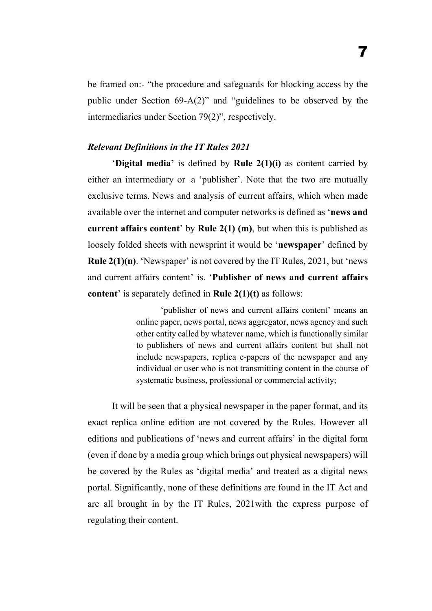be framed on:- "the procedure and safeguards for blocking access by the public under Section 69-A(2)" and "guidelines to be observed by the intermediaries under Section 79(2)", respectively.

### *Relevant Definitions in the IT Rules 2021*

'**Digital media'** is defined by **Rule 2(1)(i)** as content carried by either an intermediary or a 'publisher'. Note that the two are mutually exclusive terms. News and analysis of current affairs, which when made available over the internet and computer networks is defined as '**news and current affairs content**' by **Rule 2(1) (m)**, but when this is published as loosely folded sheets with newsprint it would be '**newspaper**' defined by **Rule 2(1)(n)**. 'Newspaper' is not covered by the IT Rules, 2021, but 'news and current affairs content' is. '**Publisher of news and current affairs content**' is separately defined in **Rule 2(1)(t)** as follows:

> 'publisher of news and current affairs content' means an online paper, news portal, news aggregator, news agency and such other entity called by whatever name, which is functionally similar to publishers of news and current affairs content but shall not include newspapers, replica e-papers of the newspaper and any individual or user who is not transmitting content in the course of systematic business, professional or commercial activity;

It will be seen that a physical newspaper in the paper format, and its exact replica online edition are not covered by the Rules. However all editions and publications of 'news and current affairs' in the digital form (even if done by a media group which brings out physical newspapers) will be covered by the Rules as 'digital media' and treated as a digital news portal. Significantly, none of these definitions are found in the IT Act and are all brought in by the IT Rules, 2021with the express purpose of regulating their content.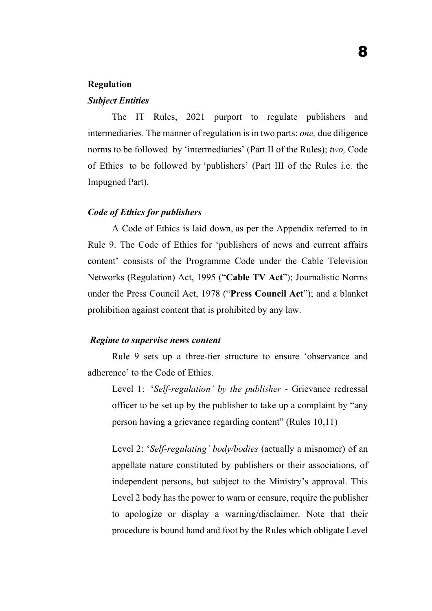#### **Regulation**

### *Subject Entities*

The IT Rules, 2021 purport to regulate publishers and intermediaries. The manner of regulation is in two parts: *one,* due diligence norms to be followed by 'intermediaries' (Part II of the Rules); *two,* Code of Ethics to be followed by 'publishers' (Part III of the Rules i.e. the Impugned Part).

#### *Code of Ethics for publishers*

A Code of Ethics is laid down, as per the Appendix referred to in Rule 9. The Code of Ethics for 'publishers of news and current affairs content' consists of the Programme Code under the Cable Television Networks (Regulation) Act, 1995 ("**Cable TV Act**"); Journalistic Norms under the Press Council Act, 1978 ("**Press Council Act**"); and a blanket prohibition against content that is prohibited by any law.

## *Regime to supervise news content*

Rule 9 sets up a three-tier structure to ensure 'observance and adherence' to the Code of Ethics.

Level 1: '*Self-regulation' by the publisher* - Grievance redressal officer to be set up by the publisher to take up a complaint by "any person having a grievance regarding content" (Rules 10,11)

Level 2: '*Self-regulating' body/bodies* (actually a misnomer) of an appellate nature constituted by publishers or their associations, of independent persons, but subject to the Ministry's approval. This Level 2 body has the power to warn or censure, require the publisher to apologize or display a warning/disclaimer. Note that their procedure is bound hand and foot by the Rules which obligate Level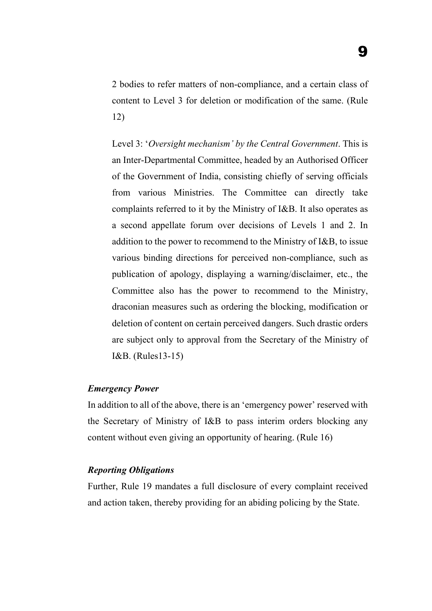2 bodies to refer matters of non-compliance, and a certain class of content to Level 3 for deletion or modification of the same. (Rule 12)

Level 3: '*Oversight mechanism' by the Central Government*. This is an Inter-Departmental Committee, headed by an Authorised Officer of the Government of India, consisting chiefly of serving officials from various Ministries. The Committee can directly take complaints referred to it by the Ministry of I&B. It also operates as a second appellate forum over decisions of Levels 1 and 2. In addition to the power to recommend to the Ministry of I&B, to issue various binding directions for perceived non-compliance, such as publication of apology, displaying a warning/disclaimer, etc., the Committee also has the power to recommend to the Ministry, draconian measures such as ordering the blocking, modification or deletion of content on certain perceived dangers. Such drastic orders are subject only to approval from the Secretary of the Ministry of I&B. (Rules13-15)

#### *Emergency Power*

In addition to all of the above, there is an 'emergency power' reserved with the Secretary of Ministry of I&B to pass interim orders blocking any content without even giving an opportunity of hearing. (Rule 16)

## *Reporting Obligations*

Further, Rule 19 mandates a full disclosure of every complaint received and action taken, thereby providing for an abiding policing by the State.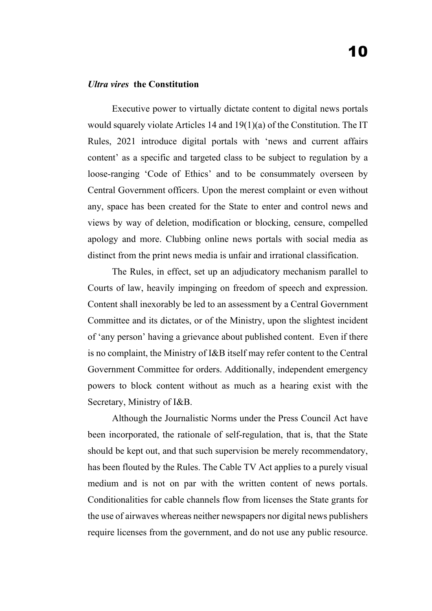#### *Ultra vires* **the Constitution**

Executive power to virtually dictate content to digital news portals would squarely violate Articles 14 and 19(1)(a) of the Constitution. The IT Rules, 2021 introduce digital portals with 'news and current affairs content' as a specific and targeted class to be subject to regulation by a loose-ranging 'Code of Ethics' and to be consummately overseen by Central Government officers. Upon the merest complaint or even without any, space has been created for the State to enter and control news and views by way of deletion, modification or blocking, censure, compelled apology and more. Clubbing online news portals with social media as distinct from the print news media is unfair and irrational classification.

The Rules, in effect, set up an adjudicatory mechanism parallel to Courts of law, heavily impinging on freedom of speech and expression. Content shall inexorably be led to an assessment by a Central Government Committee and its dictates, or of the Ministry, upon the slightest incident of 'any person' having a grievance about published content. Even if there is no complaint, the Ministry of I&B itself may refer content to the Central Government Committee for orders. Additionally, independent emergency powers to block content without as much as a hearing exist with the Secretary, Ministry of I&B.

Although the Journalistic Norms under the Press Council Act have been incorporated, the rationale of self-regulation, that is, that the State should be kept out, and that such supervision be merely recommendatory, has been flouted by the Rules. The Cable TV Act applies to a purely visual medium and is not on par with the written content of news portals. Conditionalities for cable channels flow from licenses the State grants for the use of airwaves whereas neither newspapers nor digital news publishers require licenses from the government, and do not use any public resource.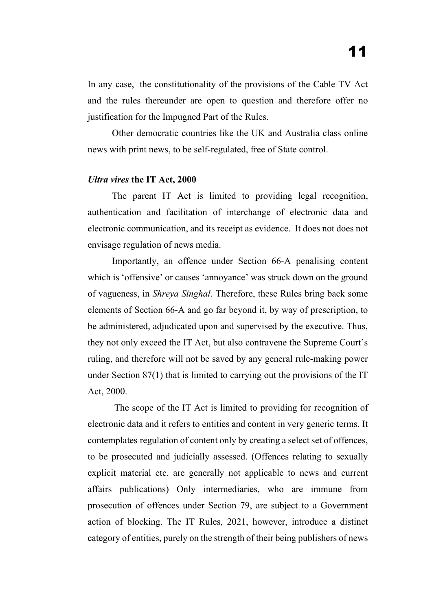In any case, the constitutionality of the provisions of the Cable TV Act and the rules thereunder are open to question and therefore offer no justification for the Impugned Part of the Rules.

Other democratic countries like the UK and Australia class online news with print news, to be self-regulated, free of State control.

#### *Ultra vires* **the IT Act, 2000**

The parent IT Act is limited to providing legal recognition, authentication and facilitation of interchange of electronic data and electronic communication, and its receipt as evidence. It does not does not envisage regulation of news media.

Importantly, an offence under Section 66-A penalising content which is 'offensive' or causes 'annoyance' was struck down on the ground of vagueness, in *Shreya Singhal*. Therefore, these Rules bring back some elements of Section 66-A and go far beyond it, by way of prescription, to be administered, adjudicated upon and supervised by the executive. Thus, they not only exceed the IT Act, but also contravene the Supreme Court's ruling, and therefore will not be saved by any general rule-making power under Section 87(1) that is limited to carrying out the provisions of the IT Act, 2000.

The scope of the IT Act is limited to providing for recognition of electronic data and it refers to entities and content in very generic terms. It contemplates regulation of content only by creating a select set of offences, to be prosecuted and judicially assessed. (Offences relating to sexually explicit material etc. are generally not applicable to news and current affairs publications) Only intermediaries, who are immune from prosecution of offences under Section 79, are subject to a Government action of blocking. The IT Rules, 2021, however, introduce a distinct category of entities, purely on the strength of their being publishers of news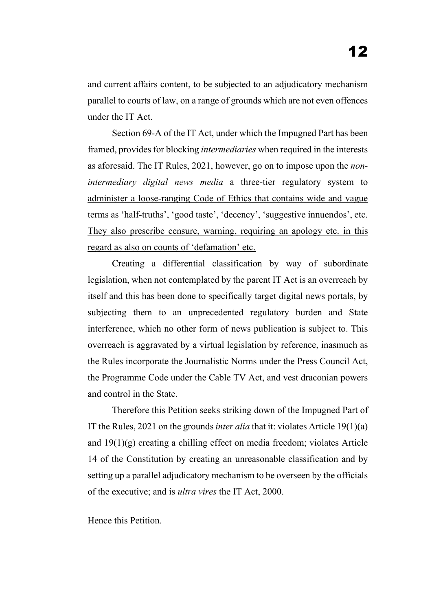and current affairs content, to be subjected to an adjudicatory mechanism parallel to courts of law, on a range of grounds which are not even offences under the IT Act.

Section 69-A of the IT Act, under which the Impugned Part has been framed, provides for blocking *intermediaries* when required in the interests as aforesaid. The IT Rules, 2021, however, go on to impose upon the *nonintermediary digital news media* a three-tier regulatory system to administer a loose-ranging Code of Ethics that contains wide and vague terms as 'half-truths', 'good taste', 'decency', 'suggestive innuendos', etc. They also prescribe censure, warning, requiring an apology etc. in this regard as also on counts of 'defamation' etc.

Creating a differential classification by way of subordinate legislation, when not contemplated by the parent IT Act is an overreach by itself and this has been done to specifically target digital news portals, by subjecting them to an unprecedented regulatory burden and State interference, which no other form of news publication is subject to. This overreach is aggravated by a virtual legislation by reference, inasmuch as the Rules incorporate the Journalistic Norms under the Press Council Act, the Programme Code under the Cable TV Act, and vest draconian powers and control in the State.

Therefore this Petition seeks striking down of the Impugned Part of IT the Rules, 2021 on the grounds *inter alia* that it: violates Article 19(1)(a) and  $19(1)(g)$  creating a chilling effect on media freedom; violates Article 14 of the Constitution by creating an unreasonable classification and by setting up a parallel adjudicatory mechanism to be overseen by the officials of the executive; and is *ultra vires* the IT Act, 2000.

Hence this Petition.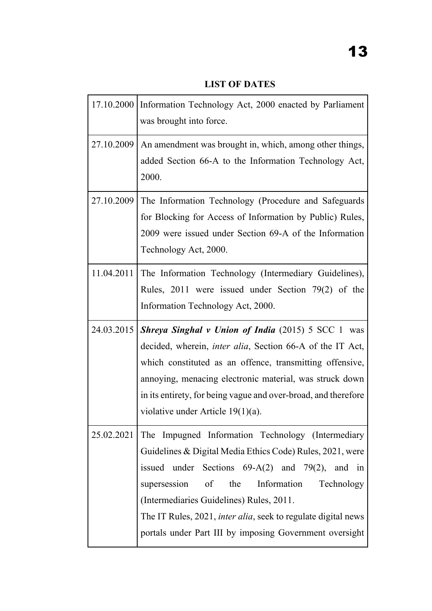**LIST OF DATES**

|            | 17.10.2000   Information Technology Act, 2000 enacted by Parliament<br>was brought into force.                                                                                                                                                                                                                                                                  |
|------------|-----------------------------------------------------------------------------------------------------------------------------------------------------------------------------------------------------------------------------------------------------------------------------------------------------------------------------------------------------------------|
| 27.10.2009 | An amendment was brought in, which, among other things,<br>added Section 66-A to the Information Technology Act,<br>2000.                                                                                                                                                                                                                                       |
| 27.10.2009 | The Information Technology (Procedure and Safeguards<br>for Blocking for Access of Information by Public) Rules,<br>2009 were issued under Section 69-A of the Information<br>Technology Act, 2000.                                                                                                                                                             |
|            | 11.04.2011 The Information Technology (Intermediary Guidelines),<br>Rules, $2011$ were issued under Section 79(2) of the<br>Information Technology Act, 2000.                                                                                                                                                                                                   |
|            |                                                                                                                                                                                                                                                                                                                                                                 |
| 24.03.2015 | <b>Shreya Singhal v Union of India (2015) 5 SCC 1 was</b><br>decided, wherein, <i>inter alia</i> , Section 66-A of the IT Act,<br>which constituted as an offence, transmitting offensive,<br>annoying, menacing electronic material, was struck down<br>in its entirety, for being vague and over-broad, and therefore<br>violative under Article $19(1)(a)$ . |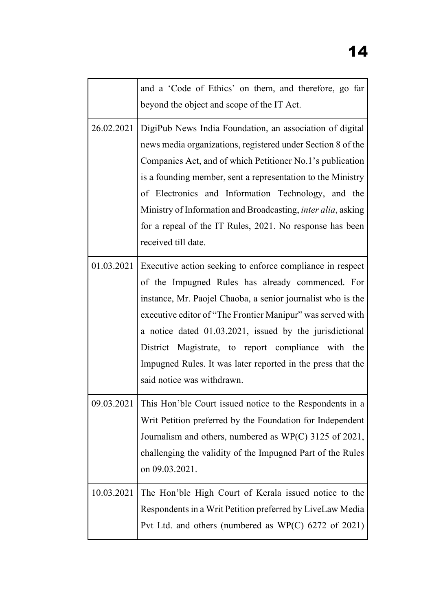|            | and a 'Code of Ethics' on them, and therefore, go far<br>beyond the object and scope of the IT Act.                                                                                                                                                                                                                                                                                                                                                                 |
|------------|---------------------------------------------------------------------------------------------------------------------------------------------------------------------------------------------------------------------------------------------------------------------------------------------------------------------------------------------------------------------------------------------------------------------------------------------------------------------|
| 26.02.2021 | DigiPub News India Foundation, an association of digital<br>news media organizations, registered under Section 8 of the<br>Companies Act, and of which Petitioner No.1's publication<br>is a founding member, sent a representation to the Ministry<br>of Electronics and Information Technology, and the<br>Ministry of Information and Broadcasting, inter alia, asking<br>for a repeal of the IT Rules, 2021. No response has been<br>received till date.        |
|            | 01.03.2021 Executive action seeking to enforce compliance in respect<br>of the Impugned Rules has already commenced. For<br>instance, Mr. Paojel Chaoba, a senior journalist who is the<br>executive editor of "The Frontier Manipur" was served with<br>a notice dated 01.03.2021, issued by the jurisdictional<br>District Magistrate, to report compliance with the<br>Impugned Rules. It was later reported in the press that the<br>said notice was withdrawn. |
|            | 09.03.2021 This Hon'ble Court issued notice to the Respondents in a<br>Writ Petition preferred by the Foundation for Independent<br>Journalism and others, numbered as WP(C) 3125 of 2021,<br>challenging the validity of the Impugned Part of the Rules<br>on 09.03.2021.                                                                                                                                                                                          |
| 10.03.2021 | The Hon'ble High Court of Kerala issued notice to the<br>Respondents in a Writ Petition preferred by LiveLaw Media<br>Pvt Ltd. and others (numbered as $WP(C)$ 6272 of 2021)                                                                                                                                                                                                                                                                                        |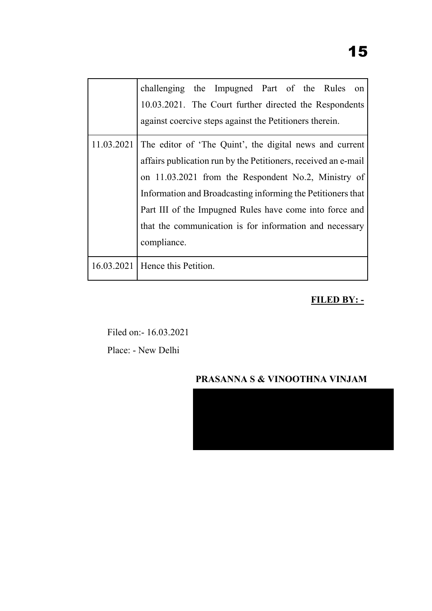|            | challenging the Impugned Part of the Rules<br>on               |  |
|------------|----------------------------------------------------------------|--|
|            | 10.03.2021. The Court further directed the Respondents         |  |
|            | against coercive steps against the Petitioners therein.        |  |
| 11.03.2021 | The editor of 'The Quint', the digital news and current        |  |
|            | affairs publication run by the Petitioners, received an e-mail |  |
|            | on 11.03.2021 from the Respondent No.2, Ministry of            |  |
|            | Information and Broadcasting informing the Petitioners that    |  |
|            | Part III of the Impugned Rules have come into force and        |  |
|            | that the communication is for information and necessary        |  |
|            | compliance.                                                    |  |
|            | 16.03.2021   Hence this Petition.                              |  |

# **FILED BY: -**

Filed on:- 16.03.2021 Place: - New Delhi

# **PRASANNA S & VINOOTHNA VINJAM**

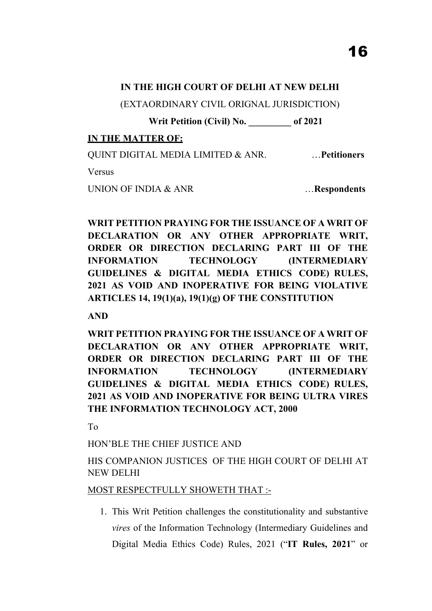(EXTAORDINARY CIVIL ORIGNAL JURISDICTION)

**Writ Petition (Civil) No. \_\_\_\_\_\_\_\_\_ of 2021** 

# **IN THE MATTER OF:**

QUINT DIGITAL MEDIA LIMITED & ANR. …**Petitioners**

Versus

UNION OF INDIA & ANR **EXECUTE: WE** ... **Respondents** 

**WRIT PETITION PRAYING FOR THE ISSUANCE OF A WRIT OF DECLARATION OR ANY OTHER APPROPRIATE WRIT, ORDER OR DIRECTION DECLARING PART III OF THE INFORMATION TECHNOLOGY (INTERMEDIARY GUIDELINES & DIGITAL MEDIA ETHICS CODE) RULES, 2021 AS VOID AND INOPERATIVE FOR BEING VIOLATIVE ARTICLES 14, 19(1)(a), 19(1)(g) OF THE CONSTITUTION**

**AND** 

**WRIT PETITION PRAYING FOR THE ISSUANCE OF A WRIT OF DECLARATION OR ANY OTHER APPROPRIATE WRIT, ORDER OR DIRECTION DECLARING PART III OF THE INFORMATION TECHNOLOGY (INTERMEDIARY GUIDELINES & DIGITAL MEDIA ETHICS CODE) RULES, 2021 AS VOID AND INOPERATIVE FOR BEING ULTRA VIRES THE INFORMATION TECHNOLOGY ACT, 2000**

To

HON'BLE THE CHIEF JUSTICE AND

HIS COMPANION JUSTICES OF THE HIGH COURT OF DELHI AT NEW DELHI

# MOST RESPECTFULLY SHOWETH THAT :-

1. This Writ Petition challenges the constitutionality and substantive *vires* of the Information Technology (Intermediary Guidelines and Digital Media Ethics Code) Rules, 2021 ("**IT Rules, 2021**" or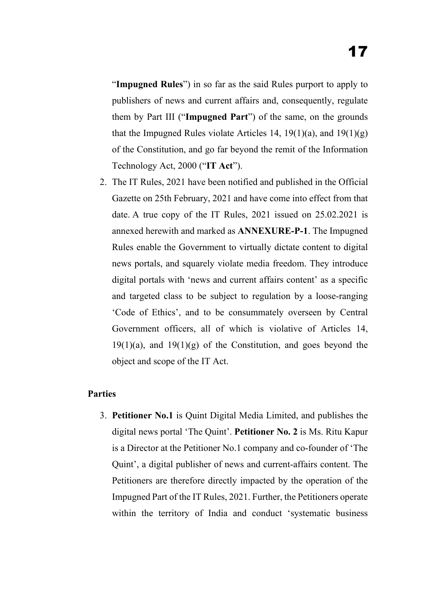"**Impugned Rules**") in so far as the said Rules purport to apply to publishers of news and current affairs and, consequently, regulate them by Part III ("**Impugned Part**") of the same, on the grounds that the Impugned Rules violate Articles 14, 19(1)(a), and  $19(1)(g)$ of the Constitution, and go far beyond the remit of the Information Technology Act, 2000 ("**IT Act**").

2. The IT Rules, 2021 have been notified and published in the Official Gazette on 25th February, 2021 and have come into effect from that date. A true copy of the IT Rules, 2021 issued on 25.02.2021 is annexed herewith and marked as **ANNEXURE-P-1**. The Impugned Rules enable the Government to virtually dictate content to digital news portals, and squarely violate media freedom. They introduce digital portals with 'news and current affairs content' as a specific and targeted class to be subject to regulation by a loose-ranging 'Code of Ethics', and to be consummately overseen by Central Government officers, all of which is violative of Articles 14,  $19(1)(a)$ , and  $19(1)(g)$  of the Constitution, and goes beyond the object and scope of the IT Act.

## **Parties**

3. **Petitioner No.1** is Quint Digital Media Limited, and publishes the digital news portal 'The Quint'. **Petitioner No. 2** is Ms. Ritu Kapur is a Director at the Petitioner No.1 company and co-founder of 'The Quint', a digital publisher of news and current-affairs content. The Petitioners are therefore directly impacted by the operation of the Impugned Part of the IT Rules, 2021. Further, the Petitioners operate within the territory of India and conduct 'systematic business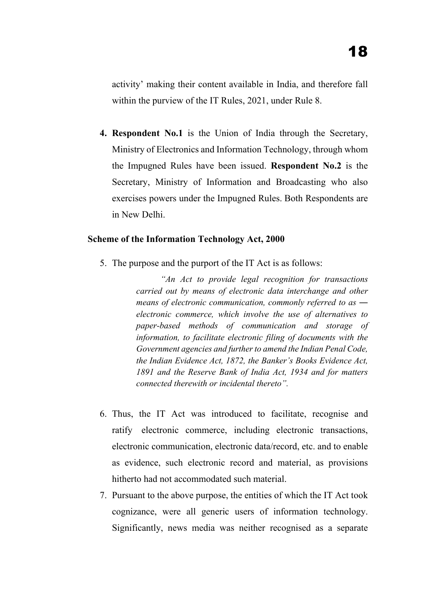activity' making their content available in India, and therefore fall within the purview of the IT Rules, 2021, under Rule 8.

**4. Respondent No.1** is the Union of India through the Secretary, Ministry of Electronics and Information Technology, through whom the Impugned Rules have been issued. **Respondent No.2** is the Secretary, Ministry of Information and Broadcasting who also exercises powers under the Impugned Rules. Both Respondents are in New Delhi.

### **Scheme of the Information Technology Act, 2000**

5. The purpose and the purport of the IT Act is as follows:

*"An Act to provide legal recognition for transactions carried out by means of electronic data interchange and other means of electronic communication, commonly referred to as – electronic commerce, which involve the use of alternatives to paper-based methods of communication and storage of information, to facilitate electronic filing of documents with the Government agencies and further to amend the Indian Penal Code, the Indian Evidence Act, 1872, the Banker's Books Evidence Act, 1891 and the Reserve Bank of India Act, 1934 and for matters connected therewith or incidental thereto".* 

- 6. Thus, the IT Act was introduced to facilitate, recognise and ratify electronic commerce, including electronic transactions, electronic communication, electronic data/record, etc. and to enable as evidence, such electronic record and material, as provisions hitherto had not accommodated such material.
- 7. Pursuant to the above purpose, the entities of which the IT Act took cognizance, were all generic users of information technology. Significantly, news media was neither recognised as a separate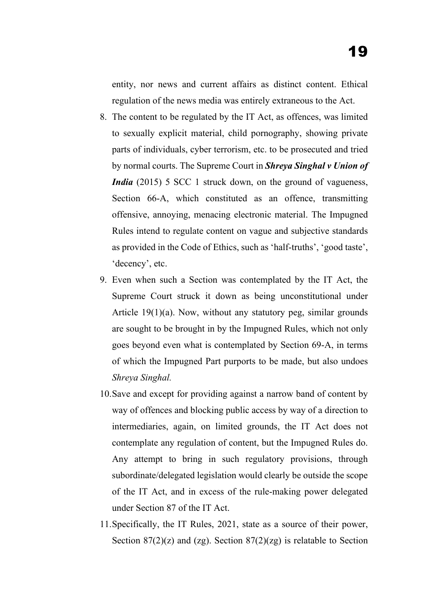entity, nor news and current affairs as distinct content. Ethical regulation of the news media was entirely extraneous to the Act.

- 8. The content to be regulated by the IT Act, as offences, was limited to sexually explicit material, child pornography, showing private parts of individuals, cyber terrorism, etc. to be prosecuted and tried by normal courts. The Supreme Court in *Shreya Singhal v Union of India* (2015) 5 SCC 1 struck down, on the ground of vagueness, Section 66-A, which constituted as an offence, transmitting offensive, annoying, menacing electronic material. The Impugned Rules intend to regulate content on vague and subjective standards as provided in the Code of Ethics, such as 'half-truths', 'good taste', 'decency', etc.
- 9. Even when such a Section was contemplated by the IT Act, the Supreme Court struck it down as being unconstitutional under Article 19(1)(a). Now, without any statutory peg, similar grounds are sought to be brought in by the Impugned Rules, which not only goes beyond even what is contemplated by Section 69-A, in terms of which the Impugned Part purports to be made, but also undoes *Shreya Singhal.*
- 10.Save and except for providing against a narrow band of content by way of offences and blocking public access by way of a direction to intermediaries, again, on limited grounds, the IT Act does not contemplate any regulation of content, but the Impugned Rules do. Any attempt to bring in such regulatory provisions, through subordinate/delegated legislation would clearly be outside the scope of the IT Act, and in excess of the rule-making power delegated under Section 87 of the IT Act.
- 11.Specifically, the IT Rules, 2021, state as a source of their power, Section  $87(2)(z)$  and  $(zg)$ . Section  $87(2)(zg)$  is relatable to Section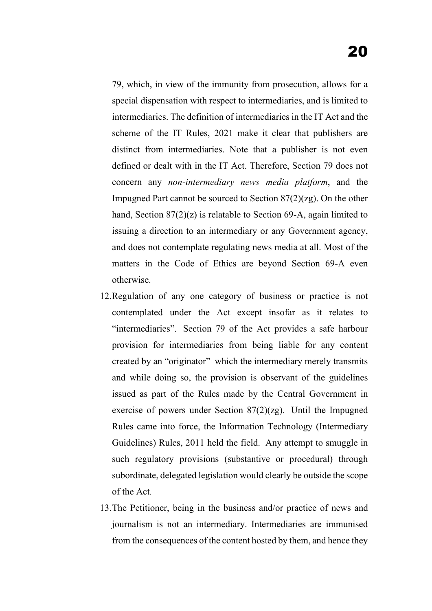- 79, which, in view of the immunity from prosecution, allows for a special dispensation with respect to intermediaries, and is limited to intermediaries. The definition of intermediaries in the IT Act and the scheme of the IT Rules, 2021 make it clear that publishers are distinct from intermediaries. Note that a publisher is not even defined or dealt with in the IT Act. Therefore, Section 79 does not concern any *non-intermediary news media platform*, and the Impugned Part cannot be sourced to Section 87(2)(zg). On the other hand, Section 87(2)(z) is relatable to Section 69-A, again limited to issuing a direction to an intermediary or any Government agency, and does not contemplate regulating news media at all. Most of the matters in the Code of Ethics are beyond Section 69-A even otherwise.
- 12.Regulation of any one category of business or practice is not contemplated under the Act except insofar as it relates to "intermediaries". Section 79 of the Act provides a safe harbour provision for intermediaries from being liable for any content created by an "originator" which the intermediary merely transmits and while doing so, the provision is observant of the guidelines issued as part of the Rules made by the Central Government in exercise of powers under Section 87(2)(zg). Until the Impugned Rules came into force, the Information Technology (Intermediary Guidelines) Rules, 2011 held the field. Any attempt to smuggle in such regulatory provisions (substantive or procedural) through subordinate, delegated legislation would clearly be outside the scope of the Act*.*
- 13.The Petitioner, being in the business and/or practice of news and journalism is not an intermediary. Intermediaries are immunised from the consequences of the content hosted by them, and hence they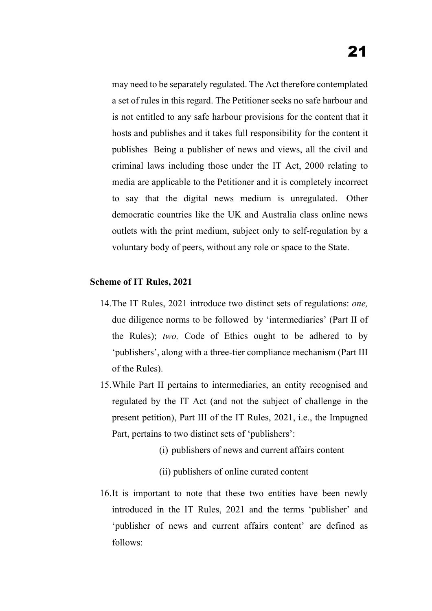may need to be separately regulated. The Act therefore contemplated a set of rules in this regard. The Petitioner seeks no safe harbour and is not entitled to any safe harbour provisions for the content that it hosts and publishes and it takes full responsibility for the content it publishes Being a publisher of news and views, all the civil and criminal laws including those under the IT Act, 2000 relating to media are applicable to the Petitioner and it is completely incorrect to say that the digital news medium is unregulated. Other democratic countries like the UK and Australia class online news outlets with the print medium, subject only to self-regulation by a voluntary body of peers, without any role or space to the State.

## **Scheme of IT Rules, 2021**

- 14.The IT Rules, 2021 introduce two distinct sets of regulations: *one,* due diligence norms to be followed by 'intermediaries' (Part II of the Rules); *two,* Code of Ethics ought to be adhered to by 'publishers', along with a three-tier compliance mechanism (Part III of the Rules).
- 15.While Part II pertains to intermediaries, an entity recognised and regulated by the IT Act (and not the subject of challenge in the present petition), Part III of the IT Rules, 2021, i.e., the Impugned Part, pertains to two distinct sets of 'publishers':
	- (i) publishers of news and current affairs content
	- (ii) publishers of online curated content
- 16.It is important to note that these two entities have been newly introduced in the IT Rules, 2021 and the terms 'publisher' and 'publisher of news and current affairs content' are defined as follows: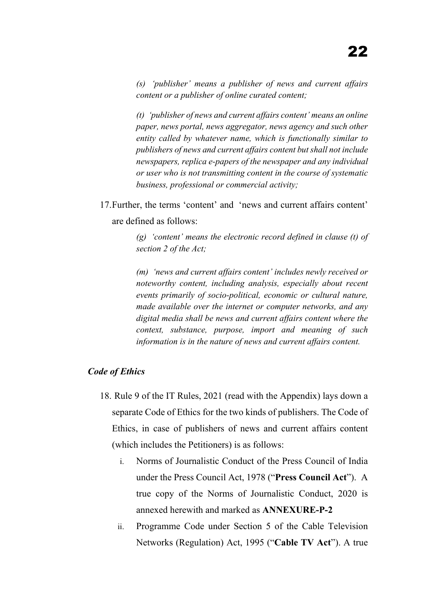*(s) 'publisher' means a publisher of news and current affairs content or a publisher of online curated content;*

*(t) 'publisher of news and current affairs content' means an online paper, news portal, news aggregator, news agency and such other entity called by whatever name, which is functionally similar to publishers of news and current affairs content but shall not include newspapers, replica e-papers of the newspaper and any individual or user who is not transmitting content in the course of systematic business, professional or commercial activity;*

17.Further, the terms 'content' and 'news and current affairs content' are defined as follows:

> *(g) 'content' means the electronic record defined in clause (t) of section 2 of the Act;*

> *(m) 'news and current affairs content' includes newly received or noteworthy content, including analysis, especially about recent events primarily of socio-political, economic or cultural nature, made available over the internet or computer networks, and any digital media shall be news and current affairs content where the context, substance, purpose, import and meaning of such information is in the nature of news and current affairs content.*

## *Code of Ethics*

- 18. Rule 9 of the IT Rules, 2021 (read with the Appendix) lays down a separate Code of Ethics for the two kinds of publishers. The Code of Ethics, in case of publishers of news and current affairs content (which includes the Petitioners) is as follows:
	- i. Norms of Journalistic Conduct of the Press Council of India under the Press Council Act, 1978 ("**Press Council Act**"). A true copy of the Norms of Journalistic Conduct, 2020 is annexed herewith and marked as **ANNEXURE-P-2**
	- ii. Programme Code under Section 5 of the Cable Television Networks (Regulation) Act, 1995 ("**Cable TV Act**"). A true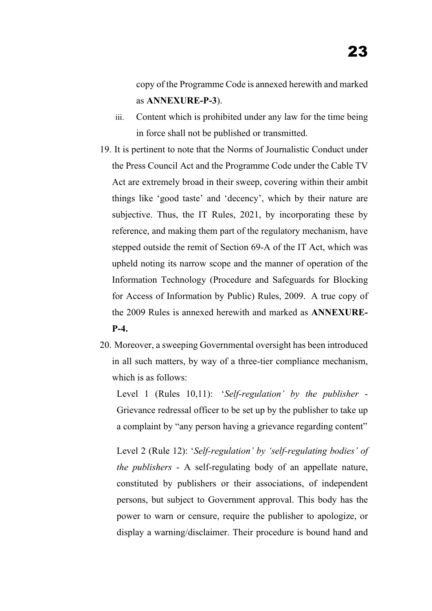copy of the Programme Code is annexed herewith and marked as **ANNEXURE-P-3**).

- iii. Content which is prohibited under any law for the time being in force shall not be published or transmitted.
- 19. It is pertinent to note that the Norms of Journalistic Conduct under the Press Council Act and the Programme Code under the Cable TV Act are extremely broad in their sweep, covering within their ambit things like 'good taste' and 'decency', which by their nature are subjective. Thus, the IT Rules, 2021, by incorporating these by reference, and making them part of the regulatory mechanism, have stepped outside the remit of Section 69-A of the IT Act, which was upheld noting its narrow scope and the manner of operation of the Information Technology (Procedure and Safeguards for Blocking for Access of Information by Public) Rules, 2009. A true copy of the 2009 Rules is annexed herewith and marked as **ANNEXURE-P-4.**
- 20. Moreover, a sweeping Governmental oversight has been introduced in all such matters, by way of a three-tier compliance mechanism, which is as follows:

Level 1 (Rules 10,11): '*Self-regulation' by the publisher* - Grievance redressal officer to be set up by the publisher to take up a complaint by "any person having a grievance regarding content"

Level 2 (Rule 12): '*Self-regulation' by 'self-regulating bodies' of the publishers* - A self-regulating body of an appellate nature, constituted by publishers or their associations, of independent persons, but subject to Government approval. This body has the power to warn or censure, require the publisher to apologize, or display a warning/disclaimer. Their procedure is bound hand and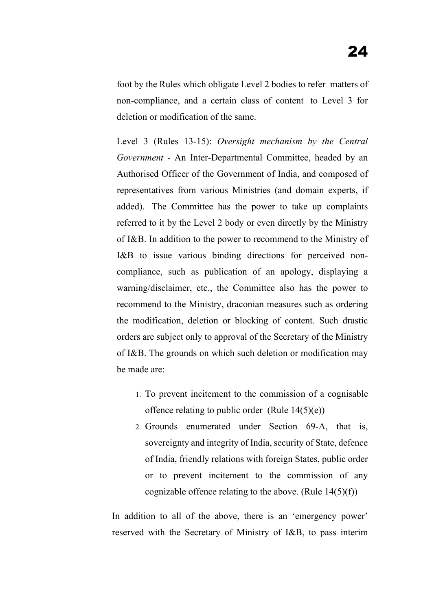foot by the Rules which obligate Level 2 bodies to refer matters of non-compliance, and a certain class of content to Level 3 for deletion or modification of the same.

Level 3 (Rules 13-15): *Oversight mechanism by the Central Government* - An Inter-Departmental Committee, headed by an Authorised Officer of the Government of India, and composed of representatives from various Ministries (and domain experts, if added). The Committee has the power to take up complaints referred to it by the Level 2 body or even directly by the Ministry of I&B. In addition to the power to recommend to the Ministry of I&B to issue various binding directions for perceived noncompliance, such as publication of an apology, displaying a warning/disclaimer, etc., the Committee also has the power to recommend to the Ministry, draconian measures such as ordering the modification, deletion or blocking of content. Such drastic orders are subject only to approval of the Secretary of the Ministry of I&B. The grounds on which such deletion or modification may be made are:

- 1. To prevent incitement to the commission of a cognisable offence relating to public order (Rule  $14(5)(e)$ )
- 2. Grounds enumerated under Section 69-A, that is, sovereignty and integrity of India, security of State, defence of India, friendly relations with foreign States, public order or to prevent incitement to the commission of any cognizable offence relating to the above. (Rule  $14(5)(f)$ )

In addition to all of the above, there is an 'emergency power' reserved with the Secretary of Ministry of I&B, to pass interim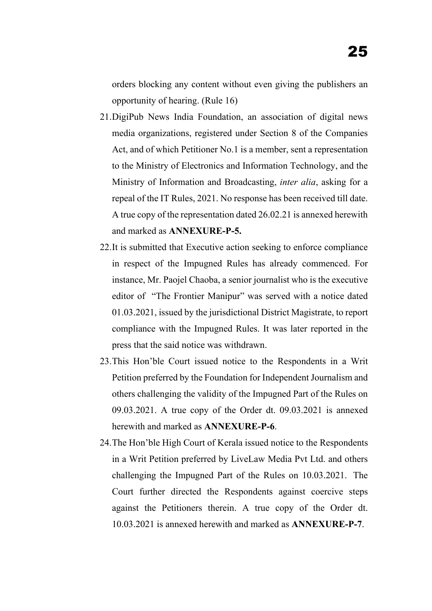orders blocking any content without even giving the publishers an opportunity of hearing. (Rule 16)

- 21.DigiPub News India Foundation, an association of digital news media organizations, registered under Section 8 of the Companies Act, and of which Petitioner No.1 is a member, sent a representation to the Ministry of Electronics and Information Technology, and the Ministry of Information and Broadcasting, *inter alia*, asking for a repeal of the IT Rules, 2021. No response has been received till date. A true copy of the representation dated 26.02.21 is annexed herewith and marked as **ANNEXURE-P-5.**
- 22.It is submitted that Executive action seeking to enforce compliance in respect of the Impugned Rules has already commenced. For instance, Mr. Paojel Chaoba, a senior journalist who is the executive editor of "The Frontier Manipur" was served with a notice dated 01.03.2021, issued by the jurisdictional District Magistrate, to report compliance with the Impugned Rules. It was later reported in the press that the said notice was withdrawn.
- 23.This Hon'ble Court issued notice to the Respondents in a Writ Petition preferred by the Foundation for Independent Journalism and others challenging the validity of the Impugned Part of the Rules on 09.03.2021. A true copy of the Order dt. 09.03.2021 is annexed herewith and marked as **ANNEXURE-P-6**.
- 24.The Hon'ble High Court of Kerala issued notice to the Respondents in a Writ Petition preferred by LiveLaw Media Pvt Ltd. and others challenging the Impugned Part of the Rules on 10.03.2021. The Court further directed the Respondents against coercive steps against the Petitioners therein. A true copy of the Order dt. 10.03.2021 is annexed herewith and marked as **ANNEXURE-P-7**.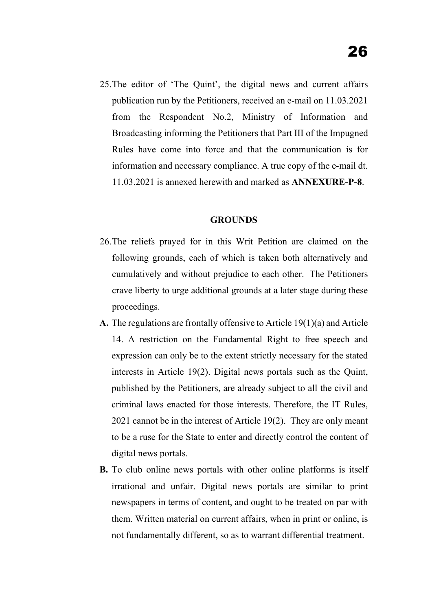25.The editor of 'The Quint', the digital news and current affairs publication run by the Petitioners, received an e-mail on 11.03.2021 from the Respondent No.2, Ministry of Information and Broadcasting informing the Petitioners that Part III of the Impugned Rules have come into force and that the communication is for information and necessary compliance. A true copy of the e-mail dt. 11.03.2021 is annexed herewith and marked as **ANNEXURE-P-8**.

#### **GROUNDS**

- 26.The reliefs prayed for in this Writ Petition are claimed on the following grounds, each of which is taken both alternatively and cumulatively and without prejudice to each other. The Petitioners crave liberty to urge additional grounds at a later stage during these proceedings.
- **A.** The regulations are frontally offensive to Article 19(1)(a) and Article 14. A restriction on the Fundamental Right to free speech and expression can only be to the extent strictly necessary for the stated interests in Article 19(2). Digital news portals such as the Quint, published by the Petitioners, are already subject to all the civil and criminal laws enacted for those interests. Therefore, the IT Rules, 2021 cannot be in the interest of Article 19(2). They are only meant to be a ruse for the State to enter and directly control the content of digital news portals.
- **B.** To club online news portals with other online platforms is itself irrational and unfair. Digital news portals are similar to print newspapers in terms of content, and ought to be treated on par with them. Written material on current affairs, when in print or online, is not fundamentally different, so as to warrant differential treatment.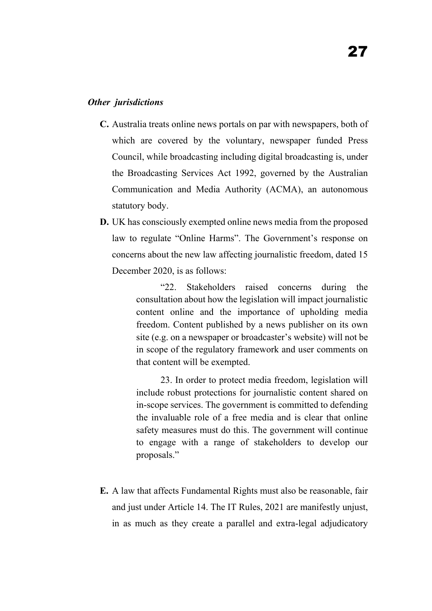### *Other jurisdictions*

- **C.** Australia treats online news portals on par with newspapers, both of which are covered by the voluntary, newspaper funded Press Council, while broadcasting including digital broadcasting is, under the Broadcasting Services Act 1992, governed by the Australian Communication and Media Authority (ACMA), an autonomous statutory body.
- **D.** UK has consciously exempted online news media from the proposed law to regulate "Online Harms". The Government's response on concerns about the new law affecting journalistic freedom, dated 15 December 2020, is as follows:

"22. Stakeholders raised concerns during the consultation about how the legislation will impact journalistic content online and the importance of upholding media freedom. Content published by a news publisher on its own site (e.g. on a newspaper or broadcaster's website) will not be in scope of the regulatory framework and user comments on that content will be exempted.

23. In order to protect media freedom, legislation will include robust protections for journalistic content shared on in-scope services. The government is committed to defending the invaluable role of a free media and is clear that online safety measures must do this. The government will continue to engage with a range of stakeholders to develop our proposals."

**E.** A law that affects Fundamental Rights must also be reasonable, fair and just under Article 14. The IT Rules, 2021 are manifestly unjust, in as much as they create a parallel and extra-legal adjudicatory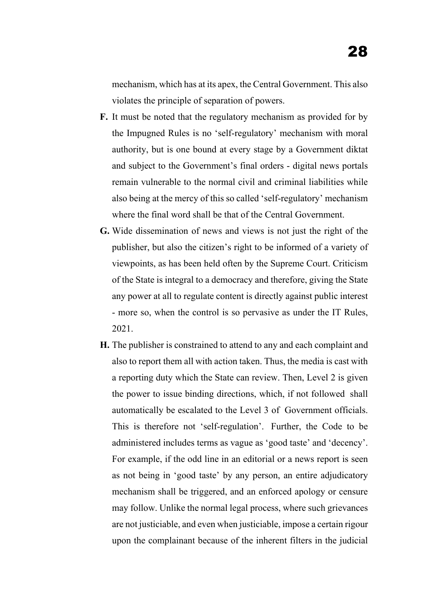mechanism, which has at its apex, the Central Government. This also violates the principle of separation of powers.

- **F.** It must be noted that the regulatory mechanism as provided for by the Impugned Rules is no 'self-regulatory' mechanism with moral authority, but is one bound at every stage by a Government diktat and subject to the Government's final orders - digital news portals remain vulnerable to the normal civil and criminal liabilities while also being at the mercy of this so called 'self-regulatory' mechanism where the final word shall be that of the Central Government.
- **G.** Wide dissemination of news and views is not just the right of the publisher, but also the citizen's right to be informed of a variety of viewpoints, as has been held often by the Supreme Court. Criticism of the State is integral to a democracy and therefore, giving the State any power at all to regulate content is directly against public interest - more so, when the control is so pervasive as under the IT Rules, 2021.
- **H.** The publisher is constrained to attend to any and each complaint and also to report them all with action taken. Thus, the media is cast with a reporting duty which the State can review. Then, Level 2 is given the power to issue binding directions, which, if not followed shall automatically be escalated to the Level 3 of Government officials. This is therefore not 'self-regulation'. Further, the Code to be administered includes terms as vague as 'good taste' and 'decency'. For example, if the odd line in an editorial or a news report is seen as not being in 'good taste' by any person, an entire adjudicatory mechanism shall be triggered, and an enforced apology or censure may follow. Unlike the normal legal process, where such grievances are not justiciable, and even when justiciable, impose a certain rigour upon the complainant because of the inherent filters in the judicial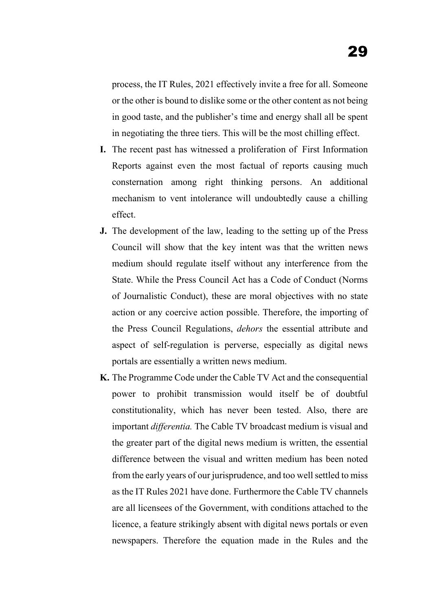process, the IT Rules, 2021 effectively invite a free for all. Someone or the other is bound to dislike some or the other content as not being in good taste, and the publisher's time and energy shall all be spent in negotiating the three tiers. This will be the most chilling effect.

- **I.** The recent past has witnessed a proliferation of First Information Reports against even the most factual of reports causing much consternation among right thinking persons. An additional mechanism to vent intolerance will undoubtedly cause a chilling effect.
- **J.** The development of the law, leading to the setting up of the Press Council will show that the key intent was that the written news medium should regulate itself without any interference from the State. While the Press Council Act has a Code of Conduct (Norms of Journalistic Conduct), these are moral objectives with no state action or any coercive action possible. Therefore, the importing of the Press Council Regulations, *dehors* the essential attribute and aspect of self-regulation is perverse, especially as digital news portals are essentially a written news medium.
- **K.** The Programme Code under the Cable TV Act and the consequential power to prohibit transmission would itself be of doubtful constitutionality, which has never been tested. Also, there are important *differentia.* The Cable TV broadcast medium is visual and the greater part of the digital news medium is written, the essential difference between the visual and written medium has been noted from the early years of our jurisprudence, and too well settled to miss as the IT Rules 2021 have done. Furthermore the Cable TV channels are all licensees of the Government, with conditions attached to the licence, a feature strikingly absent with digital news portals or even newspapers. Therefore the equation made in the Rules and the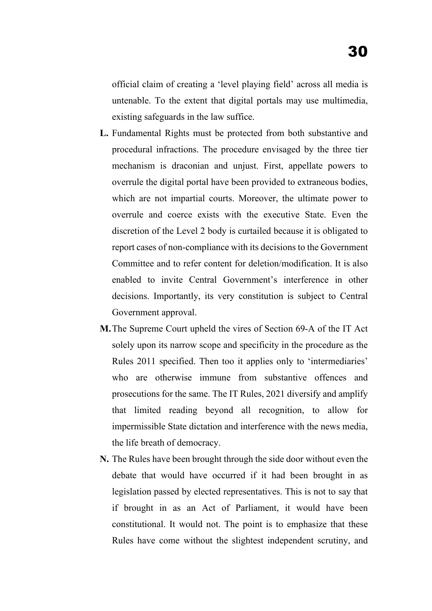official claim of creating a 'level playing field' across all media is untenable. To the extent that digital portals may use multimedia, existing safeguards in the law suffice.

- **L.** Fundamental Rights must be protected from both substantive and procedural infractions. The procedure envisaged by the three tier mechanism is draconian and unjust. First, appellate powers to overrule the digital portal have been provided to extraneous bodies, which are not impartial courts. Moreover, the ultimate power to overrule and coerce exists with the executive State. Even the discretion of the Level 2 body is curtailed because it is obligated to report cases of non-compliance with its decisions to the Government Committee and to refer content for deletion/modification. It is also enabled to invite Central Government's interference in other decisions. Importantly, its very constitution is subject to Central Government approval.
- **M.**The Supreme Court upheld the vires of Section 69-A of the IT Act solely upon its narrow scope and specificity in the procedure as the Rules 2011 specified. Then too it applies only to 'intermediaries' who are otherwise immune from substantive offences and prosecutions for the same. The IT Rules, 2021 diversify and amplify that limited reading beyond all recognition, to allow for impermissible State dictation and interference with the news media, the life breath of democracy.
- **N.** The Rules have been brought through the side door without even the debate that would have occurred if it had been brought in as legislation passed by elected representatives. This is not to say that if brought in as an Act of Parliament, it would have been constitutional. It would not. The point is to emphasize that these Rules have come without the slightest independent scrutiny, and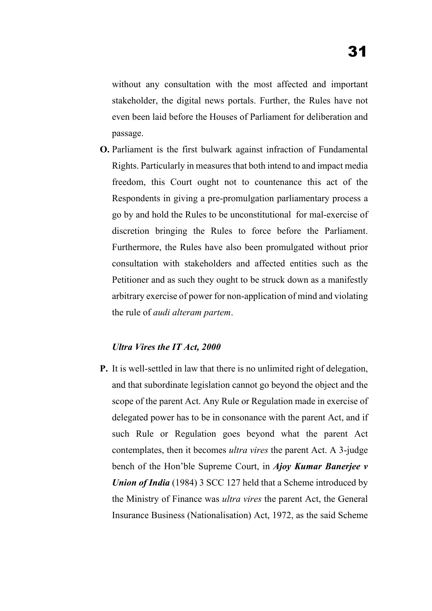without any consultation with the most affected and important stakeholder, the digital news portals. Further, the Rules have not even been laid before the Houses of Parliament for deliberation and passage.

**O.** Parliament is the first bulwark against infraction of Fundamental Rights. Particularly in measures that both intend to and impact media freedom, this Court ought not to countenance this act of the Respondents in giving a pre-promulgation parliamentary process a go by and hold the Rules to be unconstitutional for mal-exercise of discretion bringing the Rules to force before the Parliament. Furthermore, the Rules have also been promulgated without prior consultation with stakeholders and affected entities such as the Petitioner and as such they ought to be struck down as a manifestly arbitrary exercise of power for non-application of mind and violating the rule of *audi alteram partem*.

#### *Ultra Vires the IT Act, 2000*

**P.** It is well-settled in law that there is no unlimited right of delegation, and that subordinate legislation cannot go beyond the object and the scope of the parent Act. Any Rule or Regulation made in exercise of delegated power has to be in consonance with the parent Act, and if such Rule or Regulation goes beyond what the parent Act contemplates, then it becomes *ultra vires* the parent Act. A 3-judge bench of the Hon'ble Supreme Court, in *Ajoy Kumar Banerjee v Union of India* (1984) 3 SCC 127 held that a Scheme introduced by the Ministry of Finance was *ultra vires* the parent Act, the General Insurance Business (Nationalisation) Act, 1972, as the said Scheme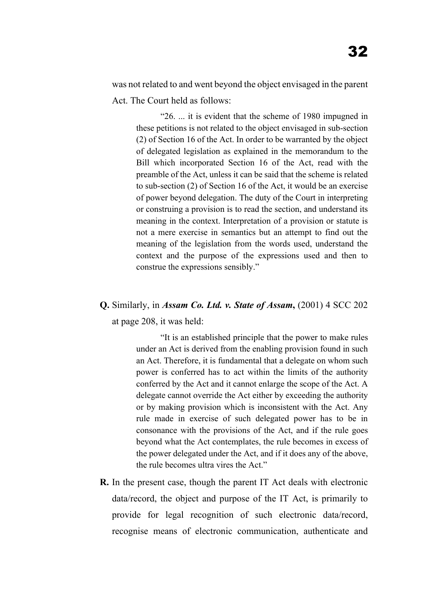was not related to and went beyond the object envisaged in the parent Act. The Court held as follows:

"26. ... it is evident that the scheme of 1980 impugned in these petitions is not related to the object envisaged in sub-section (2) of Section 16 of the Act. In order to be warranted by the object of delegated legislation as explained in the memorandum to the Bill which incorporated Section 16 of the Act, read with the preamble of the Act, unless it can be said that the scheme is related to sub-section (2) of Section 16 of the Act, it would be an exercise of power beyond delegation. The duty of the Court in interpreting or construing a provision is to read the section, and understand its meaning in the context. Interpretation of a provision or statute is not a mere exercise in semantics but an attempt to find out the meaning of the legislation from the words used, understand the context and the purpose of the expressions used and then to construe the expressions sensibly."

# **Q.** Similarly, in *Assam Co. Ltd. v. State of Assam***,** (2001) 4 SCC 202

at page 208, it was held:

"It is an established principle that the power to make rules under an Act is derived from the enabling provision found in such an Act. Therefore, it is fundamental that a delegate on whom such power is conferred has to act within the limits of the authority conferred by the Act and it cannot enlarge the scope of the Act. A delegate cannot override the Act either by exceeding the authority or by making provision which is inconsistent with the Act. Any rule made in exercise of such delegated power has to be in consonance with the provisions of the Act, and if the rule goes beyond what the Act contemplates, the rule becomes in excess of the power delegated under the Act, and if it does any of the above, the rule becomes ultra vires the Act."

**R.** In the present case, though the parent IT Act deals with electronic data/record, the object and purpose of the IT Act, is primarily to provide for legal recognition of such electronic data/record, recognise means of electronic communication, authenticate and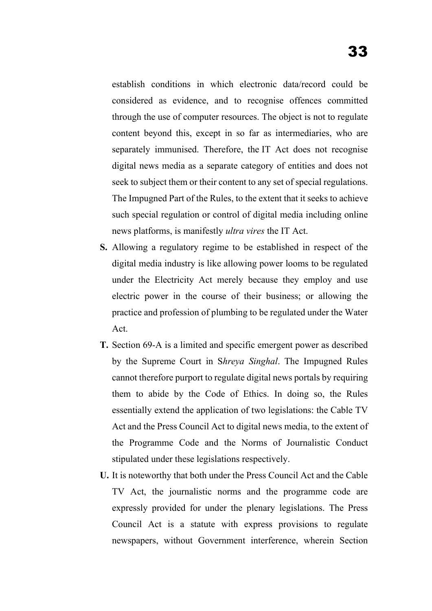establish conditions in which electronic data/record could be considered as evidence, and to recognise offences committed through the use of computer resources. The object is not to regulate content beyond this, except in so far as intermediaries, who are separately immunised. Therefore, the IT Act does not recognise digital news media as a separate category of entities and does not seek to subject them or their content to any set of special regulations. The Impugned Part of the Rules, to the extent that it seeks to achieve such special regulation or control of digital media including online news platforms, is manifestly *ultra vires* the IT Act.

- **S.** Allowing a regulatory regime to be established in respect of the digital media industry is like allowing power looms to be regulated under the Electricity Act merely because they employ and use electric power in the course of their business; or allowing the practice and profession of plumbing to be regulated under the Water Act.
- **T.** Section 69-A is a limited and specific emergent power as described by the Supreme Court in S*hreya Singhal*. The Impugned Rules cannot therefore purport to regulate digital news portals by requiring them to abide by the Code of Ethics. In doing so, the Rules essentially extend the application of two legislations: the Cable TV Act and the Press Council Act to digital news media, to the extent of the Programme Code and the Norms of Journalistic Conduct stipulated under these legislations respectively.
- **U.** It is noteworthy that both under the Press Council Act and the Cable TV Act, the journalistic norms and the programme code are expressly provided for under the plenary legislations. The Press Council Act is a statute with express provisions to regulate newspapers, without Government interference, wherein Section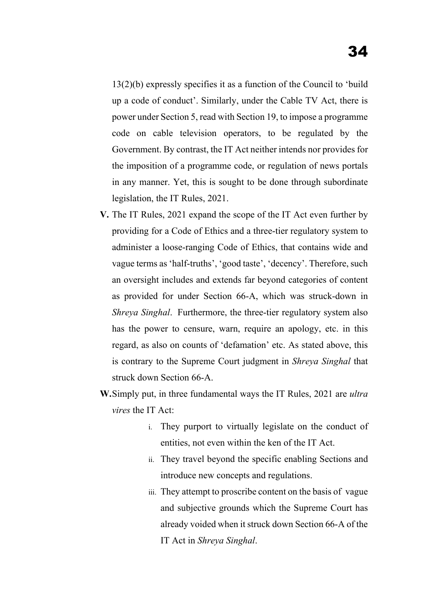13(2)(b) expressly specifies it as a function of the Council to 'build up a code of conduct'. Similarly, under the Cable TV Act, there is power under Section 5, read with Section 19, to impose a programme code on cable television operators, to be regulated by the Government. By contrast, the IT Act neither intends nor provides for the imposition of a programme code, or regulation of news portals in any manner. Yet, this is sought to be done through subordinate legislation, the IT Rules, 2021.

- **V.** The IT Rules, 2021 expand the scope of the IT Act even further by providing for a Code of Ethics and a three-tier regulatory system to administer a loose-ranging Code of Ethics, that contains wide and vague terms as 'half-truths', 'good taste', 'decency'. Therefore, such an oversight includes and extends far beyond categories of content as provided for under Section 66-A, which was struck-down in *Shreya Singhal*. Furthermore, the three-tier regulatory system also has the power to censure, warn, require an apology, etc. in this regard, as also on counts of 'defamation' etc. As stated above, this is contrary to the Supreme Court judgment in *Shreya Singhal* that struck down Section 66-A.
- **W.**Simply put, in three fundamental ways the IT Rules, 2021 are *ultra vires* the IT Act:
	- i. They purport to virtually legislate on the conduct of entities, not even within the ken of the IT Act.
	- ii. They travel beyond the specific enabling Sections and introduce new concepts and regulations.
	- iii. They attempt to proscribe content on the basis of vague and subjective grounds which the Supreme Court has already voided when it struck down Section 66-A of the IT Act in *Shreya Singhal*.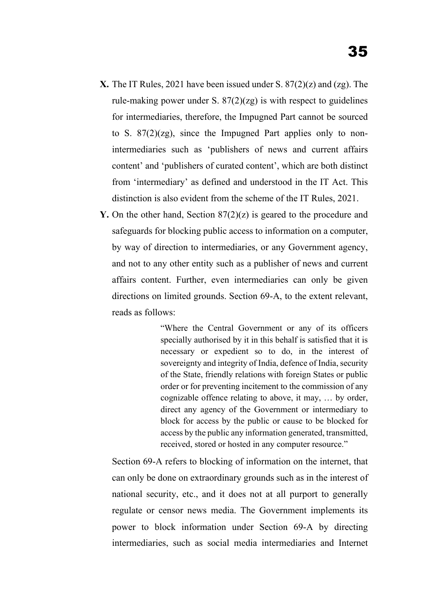- **X.** The IT Rules, 2021 have been issued under S. 87(2)(z) and (zg). The rule-making power under S.  $87(2)(z)$  is with respect to guidelines for intermediaries, therefore, the Impugned Part cannot be sourced to S.  $87(2)(z)$ , since the Impugned Part applies only to nonintermediaries such as 'publishers of news and current affairs content' and 'publishers of curated content', which are both distinct from 'intermediary' as defined and understood in the IT Act. This distinction is also evident from the scheme of the IT Rules, 2021.
- **Y.** On the other hand, Section 87(2)(z) is geared to the procedure and safeguards for blocking public access to information on a computer, by way of direction to intermediaries, or any Government agency, and not to any other entity such as a publisher of news and current affairs content. Further, even intermediaries can only be given directions on limited grounds. Section 69-A, to the extent relevant, reads as follows:

"Where the Central Government or any of its officers specially authorised by it in this behalf is satisfied that it is necessary or expedient so to do, in the interest of sovereignty and integrity of India, defence of India, security of the State, friendly relations with foreign States or public order or for preventing incitement to the commission of any cognizable offence relating to above, it may, … by order, direct any agency of the Government or intermediary to block for access by the public or cause to be blocked for access by the public any information generated, transmitted, received, stored or hosted in any computer resource."

Section 69-A refers to blocking of information on the internet, that can only be done on extraordinary grounds such as in the interest of national security, etc., and it does not at all purport to generally regulate or censor news media. The Government implements its power to block information under Section 69-A by directing intermediaries, such as social media intermediaries and Internet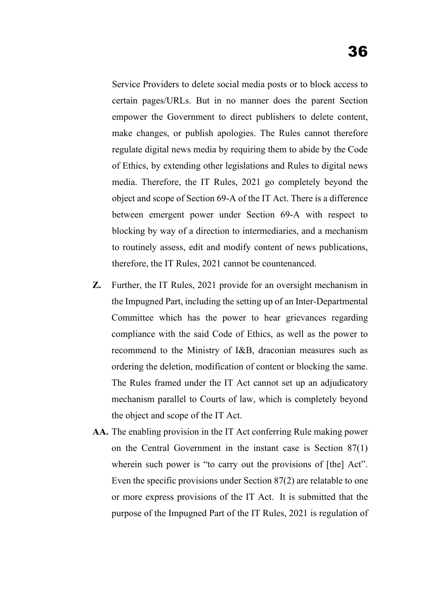Service Providers to delete social media posts or to block access to certain pages/URLs. But in no manner does the parent Section empower the Government to direct publishers to delete content, make changes, or publish apologies. The Rules cannot therefore regulate digital news media by requiring them to abide by the Code of Ethics, by extending other legislations and Rules to digital news media. Therefore, the IT Rules, 2021 go completely beyond the object and scope of Section 69-A of the IT Act. There is a difference between emergent power under Section 69-A with respect to blocking by way of a direction to intermediaries, and a mechanism to routinely assess, edit and modify content of news publications, therefore, the IT Rules, 2021 cannot be countenanced.

- **Z.** Further, the IT Rules, 2021 provide for an oversight mechanism in the Impugned Part, including the setting up of an Inter-Departmental Committee which has the power to hear grievances regarding compliance with the said Code of Ethics, as well as the power to recommend to the Ministry of I&B, draconian measures such as ordering the deletion, modification of content or blocking the same. The Rules framed under the IT Act cannot set up an adjudicatory mechanism parallel to Courts of law, which is completely beyond the object and scope of the IT Act.
- **AA.** The enabling provision in the IT Act conferring Rule making power on the Central Government in the instant case is Section 87(1) wherein such power is "to carry out the provisions of [the] Act". Even the specific provisions under Section 87(2) are relatable to one or more express provisions of the IT Act. It is submitted that the purpose of the Impugned Part of the IT Rules, 2021 is regulation of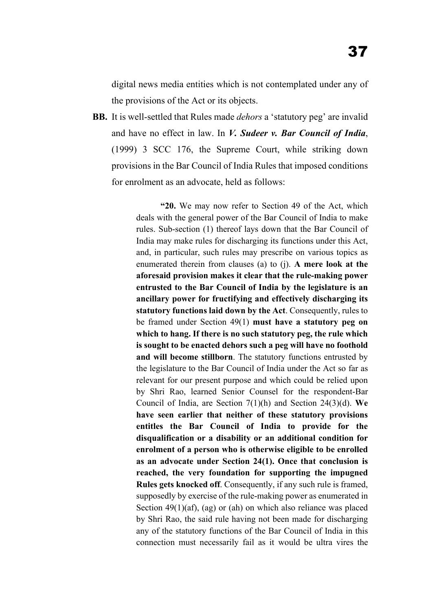digital news media entities which is not contemplated under any of the provisions of the Act or its objects.

**BB.** It is well-settled that Rules made *dehors* a 'statutory peg' are invalid and have no effect in law. In *V. Sudeer v. Bar Council of India*, (1999) 3 SCC 176, the Supreme Court, while striking down provisions in the Bar Council of India Rules that imposed conditions for enrolment as an advocate, held as follows:

> **"20.** We may now refer to Section 49 of the Act, which deals with the general power of the Bar Council of India to make rules. Sub-section (1) thereof lays down that the Bar Council of India may make rules for discharging its functions under this Act, and, in particular, such rules may prescribe on various topics as enumerated therein from clauses (a) to (j). **A mere look at the aforesaid provision makes it clear that the rule-making power entrusted to the Bar Council of India by the legislature is an ancillary power for fructifying and effectively discharging its statutory functions laid down by the Act**. Consequently, rules to be framed under Section 49(1) **must have a statutory peg on which to hang. If there is no such statutory peg, the rule which is sought to be enacted dehors such a peg will have no foothold and will become stillborn**. The statutory functions entrusted by the legislature to the Bar Council of India under the Act so far as relevant for our present purpose and which could be relied upon by Shri Rao, learned Senior Counsel for the respondent-Bar Council of India, are Section 7(1)(h) and Section 24(3)(d). **We have seen earlier that neither of these statutory provisions entitles the Bar Council of India to provide for the disqualification or a disability or an additional condition for enrolment of a person who is otherwise eligible to be enrolled as an advocate under Section 24(1). Once that conclusion is reached, the very foundation for supporting the impugned Rules gets knocked off**. Consequently, if any such rule is framed, supposedly by exercise of the rule-making power as enumerated in Section 49(1)(af), (ag) or (ah) on which also reliance was placed by Shri Rao, the said rule having not been made for discharging any of the statutory functions of the Bar Council of India in this connection must necessarily fail as it would be ultra vires the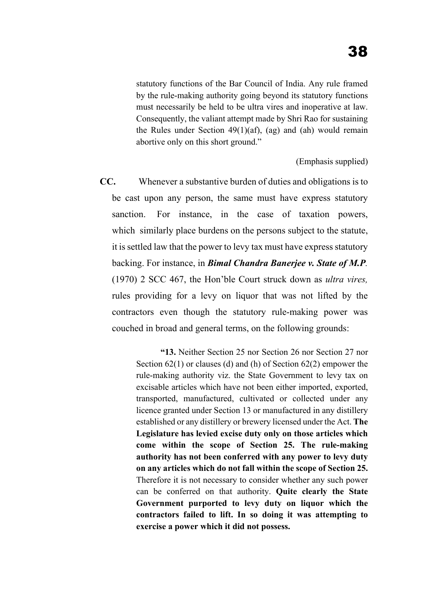statutory functions of the Bar Council of India. Any rule framed by the rule-making authority going beyond its statutory functions must necessarily be held to be ultra vires and inoperative at law. Consequently, the valiant attempt made by Shri Rao for sustaining the Rules under Section  $49(1)(af)$ , (ag) and (ah) would remain abortive only on this short ground."

(Emphasis supplied)

**CC.** Whenever a substantive burden of duties and obligations is to be cast upon any person, the same must have express statutory sanction. For instance, in the case of taxation powers, which similarly place burdens on the persons subject to the statute, it is settled law that the power to levy tax must have express statutory backing. For instance, in *Bimal Chandra Banerjee v. State of M.P.* (1970) 2 SCC 467, the Hon'ble Court struck down as *ultra vires,* rules providing for a levy on liquor that was not lifted by the contractors even though the statutory rule-making power was couched in broad and general terms, on the following grounds:

> **"13.** Neither Section 25 nor Section 26 nor Section 27 nor Section 62(1) or clauses (d) and (h) of Section 62(2) empower the rule-making authority viz. the State Government to levy tax on excisable articles which have not been either imported, exported, transported, manufactured, cultivated or collected under any licence granted under Section 13 or manufactured in any distillery established or any distillery or brewery licensed under the Act. **The Legislature has levied excise duty only on those articles which come within the scope of Section 25. The rule-making authority has not been conferred with any power to levy duty on any articles which do not fall within the scope of Section 25.** Therefore it is not necessary to consider whether any such power can be conferred on that authority. **Quite clearly the State Government purported to levy duty on liquor which the contractors failed to lift. In so doing it was attempting to exercise a power which it did not possess.**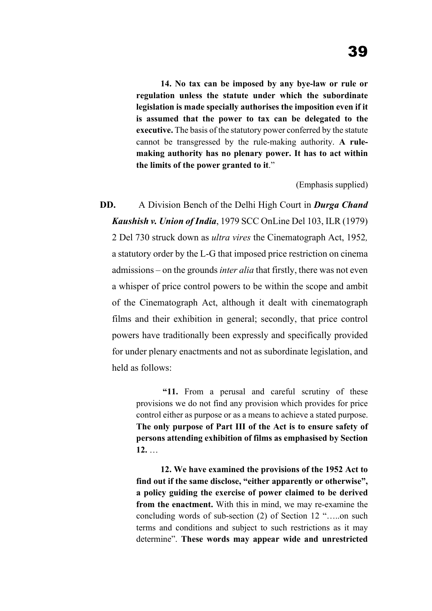**14. No tax can be imposed by any bye-law or rule or regulation unless the statute under which the subordinate legislation is made specially authorises the imposition even if it is assumed that the power to tax can be delegated to the executive.** The basis of the statutory power conferred by the statute cannot be transgressed by the rule-making authority. **A rulemaking authority has no plenary power. It has to act within the limits of the power granted to it**."

(Emphasis supplied)

**DD.** A Division Bench of the Delhi High Court in *Durga Chand Kaushish v. Union of India*, 1979 SCC OnLine Del 103, ILR (1979) 2 Del 730 struck down as *ultra vires* the Cinematograph Act, 1952*,* a statutory order by the L-G that imposed price restriction on cinema admissions – on the grounds *inter alia* that firstly, there was not even a whisper of price control powers to be within the scope and ambit of the Cinematograph Act, although it dealt with cinematograph films and their exhibition in general; secondly, that price control powers have traditionally been expressly and specifically provided for under plenary enactments and not as subordinate legislation, and held as follows:

> **"11.** From a perusal and careful scrutiny of these provisions we do not find any provision which provides for price control either as purpose or as a means to achieve a stated purpose. **The only purpose of Part III of the Act is to ensure safety of persons attending exhibition of films as emphasised by Section 12.** …

> **12. We have examined the provisions of the 1952 Act to find out if the same disclose, "either apparently or otherwise", a policy guiding the exercise of power claimed to be derived from the enactment.** With this in mind, we may re-examine the concluding words of sub-section (2) of Section 12 "…..on such terms and conditions and subject to such restrictions as it may determine". **These words may appear wide and unrestricted**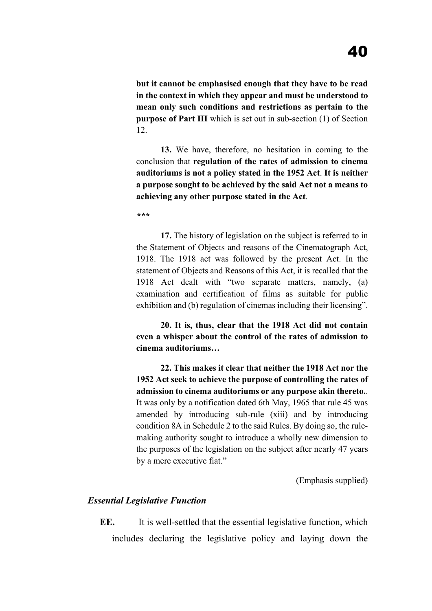**but it cannot be emphasised enough that they have to be read in the context in which they appear and must be understood to mean only such conditions and restrictions as pertain to the purpose of Part III** which is set out in sub-section (1) of Section 12.

**13.** We have, therefore, no hesitation in coming to the conclusion that **regulation of the rates of admission to cinema auditoriums is not a policy stated in the 1952 Act**. **It is neither a purpose sought to be achieved by the said Act not a means to achieving any other purpose stated in the Act**.

*\*\*\**

**17.** The history of legislation on the subject is referred to in the Statement of Objects and reasons of the Cinematograph Act, 1918. The 1918 act was followed by the present Act. In the statement of Objects and Reasons of this Act, it is recalled that the 1918 Act dealt with "two separate matters, namely, (a) examination and certification of films as suitable for public exhibition and (b) regulation of cinemas including their licensing".

**20. It is, thus, clear that the 1918 Act did not contain even a whisper about the control of the rates of admission to cinema auditoriums…**

**22. This makes it clear that neither the 1918 Act nor the 1952 Act seek to achieve the purpose of controlling the rates of admission to cinema auditoriums or any purpose akin thereto.**. It was only by a notification dated 6th May, 1965 that rule 45 was amended by introducing sub-rule (xiii) and by introducing condition 8A in Schedule 2 to the said Rules. By doing so, the rulemaking authority sought to introduce a wholly new dimension to the purposes of the legislation on the subject after nearly 47 years by a mere executive fiat."

(Emphasis supplied)

#### *Essential Legislative Function*

**EE.** It is well-settled that the essential legislative function, which includes declaring the legislative policy and laying down the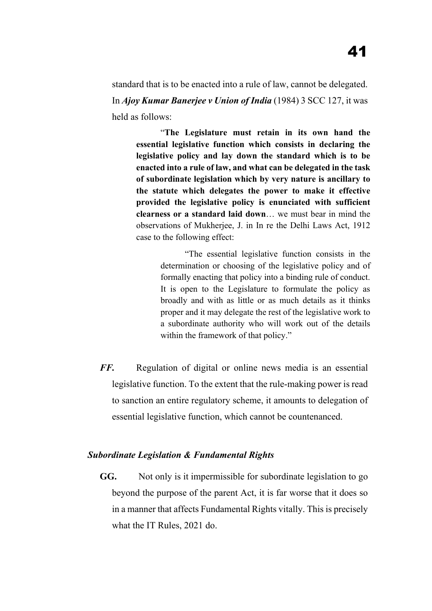standard that is to be enacted into a rule of law, cannot be delegated. In *Ajoy Kumar Banerjee v Union of India* (1984) 3 SCC 127, it was held as follows:

"**The Legislature must retain in its own hand the essential legislative function which consists in declaring the legislative policy and lay down the standard which is to be enacted into a rule of law, and what can be delegated in the task of subordinate legislation which by very nature is ancillary to the statute which delegates the power to make it effective provided the legislative policy is enunciated with sufficient clearness or a standard laid down**… we must bear in mind the observations of Mukherjee, J. in In re the Delhi Laws Act, 1912 case to the following effect:

> "The essential legislative function consists in the determination or choosing of the legislative policy and of formally enacting that policy into a binding rule of conduct. It is open to the Legislature to formulate the policy as broadly and with as little or as much details as it thinks proper and it may delegate the rest of the legislative work to a subordinate authority who will work out of the details within the framework of that policy."

*FF.* Regulation of digital or online news media is an essential legislative function. To the extent that the rule-making power is read to sanction an entire regulatory scheme, it amounts to delegation of essential legislative function, which cannot be countenanced.

### *Subordinate Legislation & Fundamental Rights*

**GG.** Not only is it impermissible for subordinate legislation to go beyond the purpose of the parent Act, it is far worse that it does so in a manner that affects Fundamental Rights vitally. This is precisely what the IT Rules, 2021 do.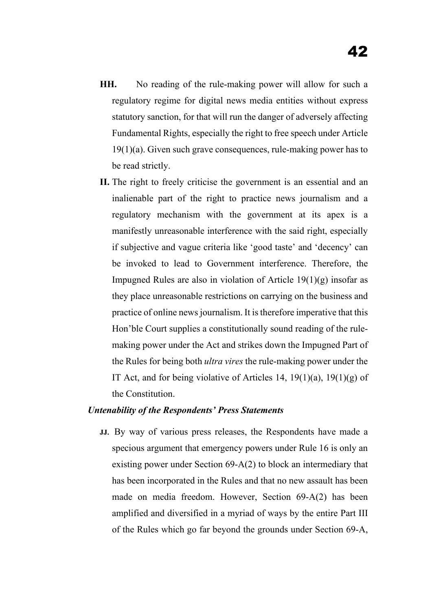- **HH.** No reading of the rule-making power will allow for such a regulatory regime for digital news media entities without express statutory sanction, for that will run the danger of adversely affecting Fundamental Rights, especially the right to free speech under Article  $19(1)(a)$ . Given such grave consequences, rule-making power has to be read strictly.
- **II.** The right to freely criticise the government is an essential and an inalienable part of the right to practice news journalism and a regulatory mechanism with the government at its apex is a manifestly unreasonable interference with the said right, especially if subjective and vague criteria like 'good taste' and 'decency' can be invoked to lead to Government interference. Therefore, the Impugned Rules are also in violation of Article  $19(1)(g)$  insofar as they place unreasonable restrictions on carrying on the business and practice of online news journalism. It is therefore imperative that this Hon'ble Court supplies a constitutionally sound reading of the rulemaking power under the Act and strikes down the Impugned Part of the Rules for being both *ultra vires* the rule-making power under the IT Act, and for being violative of Articles 14,  $19(1)(a)$ ,  $19(1)(g)$  of the Constitution.

#### *Untenability of the Respondents' Press Statements*

**JJ.** By way of various press releases, the Respondents have made a specious argument that emergency powers under Rule 16 is only an existing power under Section 69-A(2) to block an intermediary that has been incorporated in the Rules and that no new assault has been made on media freedom. However, Section 69-A(2) has been amplified and diversified in a myriad of ways by the entire Part III of the Rules which go far beyond the grounds under Section 69-A,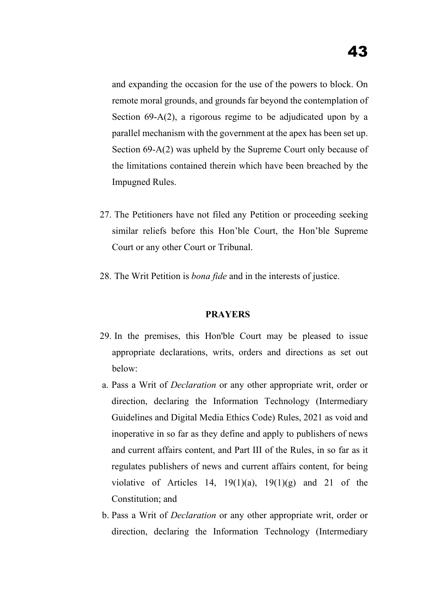and expanding the occasion for the use of the powers to block. On remote moral grounds, and grounds far beyond the contemplation of Section 69-A(2), a rigorous regime to be adjudicated upon by a parallel mechanism with the government at the apex has been set up. Section 69-A(2) was upheld by the Supreme Court only because of the limitations contained therein which have been breached by the Impugned Rules.

- 27. The Petitioners have not filed any Petition or proceeding seeking similar reliefs before this Hon'ble Court, the Hon'ble Supreme Court or any other Court or Tribunal.
- 28. The Writ Petition is *bona fide* and in the interests of justice.

#### **PRAYERS**

- 29. In the premises, this Hon'ble Court may be pleased to issue appropriate declarations, writs, orders and directions as set out below:
- a. Pass a Writ of *Declaration* or any other appropriate writ, order or direction, declaring the Information Technology (Intermediary Guidelines and Digital Media Ethics Code) Rules, 2021 as void and inoperative in so far as they define and apply to publishers of news and current affairs content, and Part III of the Rules, in so far as it regulates publishers of news and current affairs content, for being violative of Articles 14,  $19(1)(a)$ ,  $19(1)(g)$  and 21 of the Constitution; and
- b. Pass a Writ of *Declaration* or any other appropriate writ, order or direction, declaring the Information Technology (Intermediary